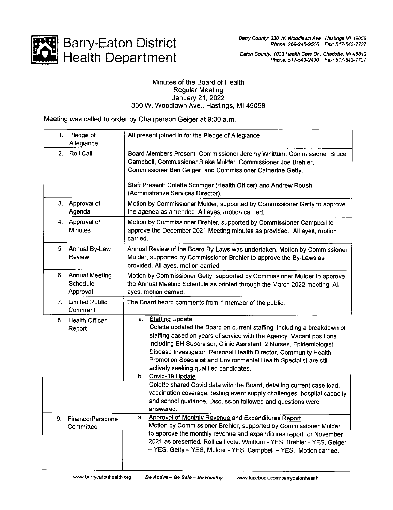

Eaton County: 1033 Health Care Dr., Charlotte, MI 48813 Phone: 517-543-2430 Fax: 517-543-7737

## Minutes of the Board of Health Regular Meeting January 21,2022 330 W. Woodlawn Ave., Hastings, Ml 49058

Meeting was called to order by Chairperson Geiger at 9:30 a.m.

| 1. | Pledge of                                 | All present joined in for the Pledge of Allegiance.                                                                                                                                                                                                                                                                                                                                                                                                                                                                                                                                                                       |
|----|-------------------------------------------|---------------------------------------------------------------------------------------------------------------------------------------------------------------------------------------------------------------------------------------------------------------------------------------------------------------------------------------------------------------------------------------------------------------------------------------------------------------------------------------------------------------------------------------------------------------------------------------------------------------------------|
|    | Allegiance                                |                                                                                                                                                                                                                                                                                                                                                                                                                                                                                                                                                                                                                           |
| 2. | Roll Call                                 | Board Members Present: Commissioner Jeremy Whittum, Commissioner Bruce<br>Campbell, Commissioner Blake Mulder, Commissioner Joe Brehler,<br>Commissioner Ben Geiger, and Commissioner Catherine Getty.<br>Staff Present: Colette Scrimger (Health Officer) and Andrew Roush<br>(Administrative Services Director).                                                                                                                                                                                                                                                                                                        |
|    | 3. Approval of<br>Agenda                  | Motion by Commissioner Mulder, supported by Commissioner Getty to approve<br>the agenda as amended. All ayes, motion carried.                                                                                                                                                                                                                                                                                                                                                                                                                                                                                             |
|    | 4. Approval of<br><b>Minutes</b>          | Motion by Commissioner Brehler, supported by Commissioner Campbell to<br>approve the December 2021 Meeting minutes as provided. All ayes, motion<br>carried.                                                                                                                                                                                                                                                                                                                                                                                                                                                              |
| 5. | Annual By-Law<br>Review                   | Annual Review of the Board By-Laws was undertaken. Motion by Commissioner<br>Mulder, supported by Commissioner Brehler to approve the By-Laws as<br>provided. All ayes, motion carried.                                                                                                                                                                                                                                                                                                                                                                                                                                   |
|    | 6. Annual Meeting<br>Schedule<br>Approval | Motion by Commissioner Getty, supported by Commissioner Mulder to approve<br>the Annual Meeting Schedule as printed through the March 2022 meeting. All<br>ayes, motion carried.                                                                                                                                                                                                                                                                                                                                                                                                                                          |
|    | 7. Limited Public<br>Comment              | The Board heard comments from 1 member of the public.                                                                                                                                                                                                                                                                                                                                                                                                                                                                                                                                                                     |
|    | 8. Health Officer<br>Report               | <b>Staffing Update</b><br>а. -<br>Colette updated the Board on current staffing, including a breakdown of<br>staffing based on years of service with the Agency. Vacant positions<br>including EH Supervisor, Clinic Assistant, 2 Nurses, Epidemiologist,<br>Disease Investigator, Personal Health Director, Community Health<br>Promotion Specialist and Environmental Health Specialist are still<br>actively seeking qualified candidates.<br>b. Covid-19 Update<br>Colette shared Covid data with the Board, detailing current case load,<br>vaccination coverage, testing event supply challenges, hospital capacity |
|    |                                           | and school guidance. Discussion followed and questions were<br>answered.                                                                                                                                                                                                                                                                                                                                                                                                                                                                                                                                                  |
| 9. | Finance/Personnel<br>Committee            | Approval of Monthly Revenue and Expenditures Report<br>а.<br>Motion by Commissioner Brehler, supported by Commissioner Mulder<br>to approve the monthly revenue and expenditures report for November<br>2021 as presented. Roll call vote: Whittum - YES, Brehler - YES, Geiger<br>- YES, Getty - YES, Mulder - YES, Campbell - YES. Motion carried.                                                                                                                                                                                                                                                                      |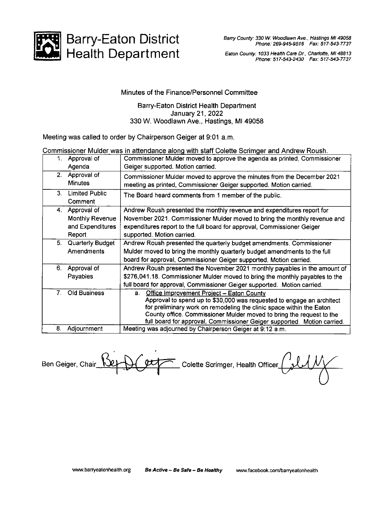

Health Department Barry-Eaton District

Eaton County: 1033 Health Care Dr., Charlotte, MI 48813 Phone: 517-543-2430 Fax: 517-543-7737

## Minutes of the Finance/Personnel Committee

## Barry-Eaton District Health Department January 21,2022 330 W. Woodlawn Ave., Hastings, Ml 49058

Meeting was called to order by Chairperson Geiger at 9:01 a.m.

## Commissioner Mulder was in attendance along with staff Colette Scrimger and Andrew Roush.

| 1. | Approval of<br>Agenda                                           | Commissioner Mulder moved to approve the agenda as printed, Commissioner<br>Geiger supported. Motion carried.                                                                                                                                                                                                                                       |
|----|-----------------------------------------------------------------|-----------------------------------------------------------------------------------------------------------------------------------------------------------------------------------------------------------------------------------------------------------------------------------------------------------------------------------------------------|
| 2. | Approval of<br><b>Minutes</b>                                   | Commissioner Mulder moved to approve the minutes from the December 2021<br>meeting as printed, Commissioner Geiger supported. Motion carried.                                                                                                                                                                                                       |
| 3. | Limited Public<br>Comment                                       | The Board heard comments from 1 member of the public.                                                                                                                                                                                                                                                                                               |
|    | 4. Approval of<br>Monthly Revenue<br>and Expenditures<br>Report | Andrew Roush presented the monthly revenue and expenditures report for<br>November 2021. Commissioner Mulder moved to bring the monthly revenue and<br>expenditures report to the full board for approval, Commissioner Geiger<br>supported. Motion carried.                                                                                        |
| 5. | Quarterly Budget<br>Amendments                                  | Andrew Roush presented the quarterly budget amendments. Commissioner<br>Mulder moved to bring the monthly quarterly budget amendments to the full<br>board for approval, Commissioner Geiger supported. Motion carried.                                                                                                                             |
| 6. | Approval of<br>Payables                                         | Andrew Roush presented the November 2021 monthly payables in the amount of<br>\$276,041.18. Commissioner Mulder moved to bring the monthly payables to the<br>full board for approval, Commissioner Geiger supported. Motion carried.                                                                                                               |
| 7. | Old Business                                                    | Office Improvement Project - Eaton County<br>а.<br>Approval to spend up to \$30,000 was requested to engage an architect<br>for preliminary work on remodeling the clinic space within the Eaton<br>County office. Commissioner Mulder moved to bring the request to the<br>full board for approval, Commissioner Geiger supported. Motion carried. |
| 8. | Adjournment                                                     | Meeting was adjourned by Chairperson Geiger at 9:12 a.m.                                                                                                                                                                                                                                                                                            |

Ben Geiger, Chair Ret DC extraction Colette Scrimger, Health Officer